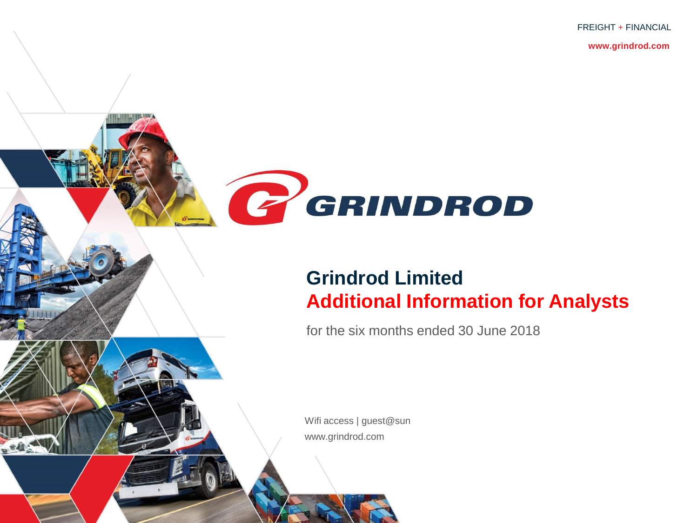FREIGHT + FINANCIAL

**www.grindrod.com**



## **Grindrod Limited Additional Information for Analysts**

for the six months ended 30 June 2018

Wifi access | guest@sun www.grindrod.com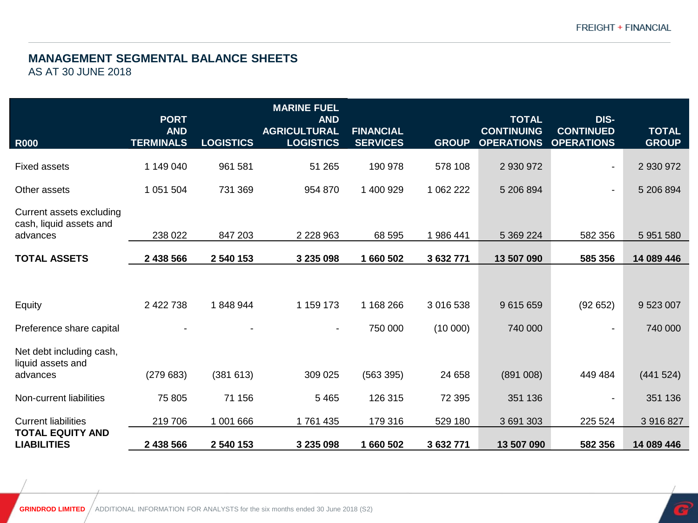### **MANAGEMENT SEGMENTAL BALANCE SHEETS**

AS AT 30 JUNE 2018

| <b>R000</b>                                                     | <b>PORT</b><br><b>AND</b><br><b>TERMINALS</b> | <b>LOGISTICS</b> | <b>MARINE FUEL</b><br><b>AND</b><br><b>AGRICULTURAL</b><br><b>LOGISTICS</b> | <b>FINANCIAL</b><br><b>SERVICES</b> | <b>GROUP</b> | <b>TOTAL</b><br><b>CONTINUING</b><br><b>OPERATIONS</b> | DIS-<br><b>CONTINUED</b><br><b>OPERATIONS</b> | <b>TOTAL</b><br><b>GROUP</b> |
|-----------------------------------------------------------------|-----------------------------------------------|------------------|-----------------------------------------------------------------------------|-------------------------------------|--------------|--------------------------------------------------------|-----------------------------------------------|------------------------------|
| <b>Fixed assets</b>                                             | 1 149 040                                     | 961 581          | 51 265                                                                      | 190 978                             | 578 108      | 2 930 972                                              |                                               | 2 930 972                    |
| Other assets                                                    | 1 051 504                                     | 731 369          | 954 870                                                                     | 1 400 929                           | 1 062 222    | 5 206 894                                              |                                               | 5 206 894                    |
| Current assets excluding<br>cash, liquid assets and<br>advances | 238 022                                       | 847 203          | 2 2 2 8 9 6 3                                                               | 68 595                              | 986 441      | 5 369 224                                              | 582 356                                       | 5 951 580                    |
| <b>TOTAL ASSETS</b>                                             | 2 438 566                                     | 2 540 153        | 3 235 098                                                                   | 1 660 502                           | 3 632 771    | 13 507 090                                             | 585 356                                       | 14 089 446                   |
| Equity                                                          | 2 422 738                                     | 1848944          | 1 159 173                                                                   | 1 168 266                           | 3 016 538    | 9 615 659                                              | (92652)                                       | 9 523 007                    |
| Preference share capital                                        |                                               |                  | $\blacksquare$                                                              | 750 000                             | (10000)      | 740 000                                                | $\sim$                                        | 740 000                      |
| Net debt including cash,<br>liquid assets and<br>advances       | (279683)                                      | (381613)         | 309 025                                                                     | (563 395)                           | 24 658       | (891008)                                               | 449 484                                       | (441524)                     |
| Non-current liabilities                                         | 75 805                                        | 71 156           | 5 4 6 5                                                                     | 126 315                             | 72 395       | 351 136                                                |                                               | 351 136                      |
| <b>Current liabilities</b>                                      | 219706                                        | 1 001 666        | 1761435                                                                     | 179 316                             | 529 180      | 3 691 303                                              | 225 524                                       | 3 916 827                    |
| <b>TOTAL EQUITY AND</b><br><b>LIABILITIES</b>                   | 2 438 566                                     | 2 540 153        | 3 235 098                                                                   | 1 660 502                           | 3 632 771    | 13 507 090                                             | 582 356                                       | 14 089 446                   |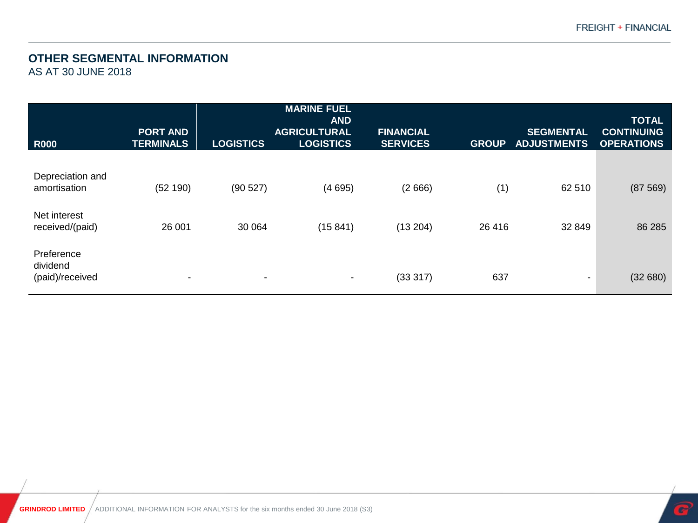#### **OTHER SEGMENTAL INFORMATION**

AS AT 30 JUNE 2018

|                                           |                                     |                  | <b>MARINE FUEL</b><br><b>AND</b>        |                                     |              |                                        | <b>TOTAL</b>                           |
|-------------------------------------------|-------------------------------------|------------------|-----------------------------------------|-------------------------------------|--------------|----------------------------------------|----------------------------------------|
| <b>R000</b>                               | <b>PORT AND</b><br><b>TERMINALS</b> | <b>LOGISTICS</b> | <b>AGRICULTURAL</b><br><b>LOGISTICS</b> | <b>FINANCIAL</b><br><b>SERVICES</b> | <b>GROUP</b> | <b>SEGMENTAL</b><br><b>ADJUSTMENTS</b> | <b>CONTINUING</b><br><b>OPERATIONS</b> |
| Depreciation and<br>amortisation          | (52 190)                            | (90527)          | (4695)                                  | (2666)                              | (1)          | 62 510                                 | (87569)                                |
| Net interest<br>received/(paid)           | 26 001                              | 30 064           | (15841)                                 | (13 204)                            | 26 416       | 32 849                                 | 86 285                                 |
| Preference<br>dividend<br>(paid)/received | $\overline{\phantom{a}}$            | ۰                | ٠                                       | (33317)                             | 637          | ٠                                      | (32680)                                |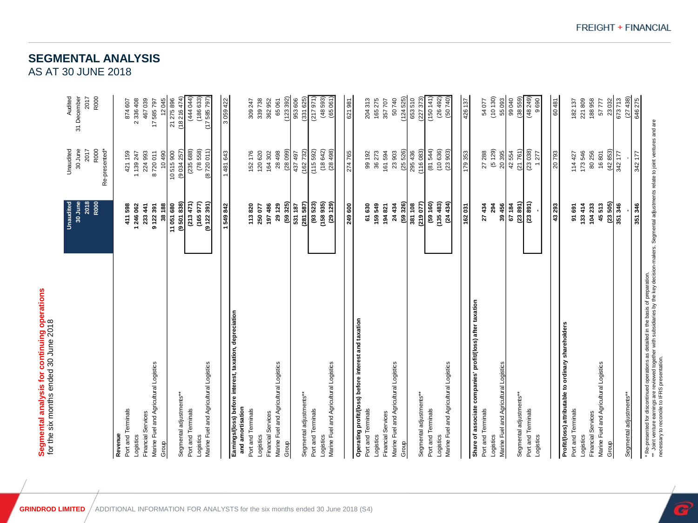# Segmental analysis for continuing operations<br>for the six months ended 30 June 2018 **Segmental analysis for continuing operations** for the six months ended 30 June 2018

| Segmental analysis for continuing operations<br>for the six months ended 30 June 2018<br>Marine Fuel and Agricultural Logistics<br>Port and Terminals<br>Financial Services<br>Revenue<br>Logistics | 2018<br>R000<br>Unaudited<br>30 June<br>38 188<br>411 598<br>1246 062<br>233 441<br>9122391 | 30 June<br>Unaudited<br>2017<br>R000<br>Re-presented*<br>224 993<br>421 159<br>8720011<br>10490<br>1139247 | Audited<br>31 December<br>R000<br>2017<br>467039<br>2336408<br>874607<br>17585797 |
|-----------------------------------------------------------------------------------------------------------------------------------------------------------------------------------------------------|---------------------------------------------------------------------------------------------|------------------------------------------------------------------------------------------------------------|-----------------------------------------------------------------------------------|
| Marine Fuel and Agricultural Logistics<br>Segmental adjustments**<br>Port and Terminals<br>Logistics<br>Group                                                                                       | (213471)<br>(9501838)<br>(165977)<br>(9122391)<br>11 051 680                                | (235 688)<br>(78, 558)<br>(8720011)<br>10515900<br>(9034257)                                               | (444 044)<br>12045<br>21 275 896<br>(18216474)<br>(186633)<br>(17585797)          |
| Earnings/(loss) before interest, taxation, depreciation<br>Marine Fuel and Agricultural Logistics<br>and amortisation<br>Port and Terminals<br>Financial Services<br>Logistics<br>Group             | (59325)<br>197486<br>29 129<br>1549842<br>113820<br>250 077                                 | (2809)<br>152 176<br>120 620<br>28 498<br>1481643<br>164 302                                               | (123392)<br>3059422<br>339738<br>362952<br>65061<br>309 247                       |
| Marine Fuel and Agricultural Logistics<br>Segmental adjustments**<br>Port and Terminals<br>Logistics                                                                                                | (93523)<br>(158935)<br>(281, 587)<br>(29129)<br>249 600<br>531 187                          | (115 592)<br>(162732)<br>(18642)<br>(28498)<br>274765<br>437 497                                           | (48593)<br>(65061)<br>953 606<br>(331625)<br>(217971)<br>621981                   |
| Operating profit/(loss) before interest and taxation<br>Marine Fuel and Agricultural Logistics<br>Port and Terminals<br>Financial Services<br>Logistics<br>Group                                    | (59 326)<br>159549<br>61630<br>24 434<br>194821                                             | (25526)<br>36 273<br>161 594<br>23903<br>99 192                                                            | (124525)<br>165275<br>50740<br>204313<br>357707                                   |
| Marine Fuel and Agricultural Logistics<br>Segmental adjustments**<br>Port and Terminals<br>Logistics                                                                                                | (135483)<br>(219077)<br>(59 160)<br>(24434)<br>381 108                                      | (116083)<br>(81544)<br>(10636)<br>295 436<br>(23903)                                                       | (227373)<br>(26492)<br>(50740)<br>653510<br>(150141)                              |

Logistics

Group

| Group                                                      | (59326)   | (25526)  | (124525) |
|------------------------------------------------------------|-----------|----------|----------|
|                                                            | 381 108   | 295 436  | 653510   |
| Segmental adjustments**                                    | (219 077) | (116083) | (22737)  |
| Port and Terminals                                         | (59160)   | (81544)  | (150141) |
| Logistics                                                  | (135483)  | (10636)  | (26492)  |
| Marine Fuel and Agricultural Logistics                     | (24434)   | (23903)  | (50740)  |
|                                                            |           |          |          |
|                                                            | 162031    | 179353   | 426 137  |
| Share of associate companies' profit/(loss) after taxation |           |          |          |
| Port and Terminals                                         | 27434     | 27 288   | 54077    |
| Logistics                                                  | 294       | (5129)   | (10130)  |
| Marine Fuel and Agricultural Logistics                     | 39 456    | 20395    | 55093    |
|                                                            | 67184     | 42554    | 99040    |
| Segmental adjustments**                                    | (23891)   | (21761)  | (38559)  |
| Port and Terminals                                         | (23891)   | (23038)  | (48249)  |
| Logistics                                                  |           | 1277     | 9690     |
|                                                            |           |          |          |
|                                                            | 43 293    | 20793    | 60481    |
| Profit/(loss) attributable to ordinary shareholders        |           |          |          |
| Port and Terminals                                         | 91 691    | 114 427  | 182137   |
| Logistics                                                  | 133414    | 173546   | 221809   |
| Financial Services                                         | 104233    | 80 256   | 188958   |
| Marine Fuel and Agricultural Logistics                     | 45513     | 16801    | 57777    |
| Group                                                      | (23505)   | (42853)  | 23032    |
|                                                            | 351 346   | 342 177  | 673713   |
| Segmental adjustments**                                    |           |          | (27438)  |
|                                                            | 351 346   | 342 177  | 646275   |

' Represented for discontinued operations as detailed in the basis of preparation.<br>\*\* Joint venture earnings are reviewed together with subsidiaries by the key decision-makers. Segmental adjustments relate to joint ventur \*\* Joint venture earnings are reviewed together with subsidiaries by the key decision-makers. Segmental adjustments relate to joint ventures and are \* Re-presented for discontinued operations as detailed in the basis of preparation.

necessary to reconcile to IFRS presentation.

FREIGHT + FINANCIAL

Logistics

Group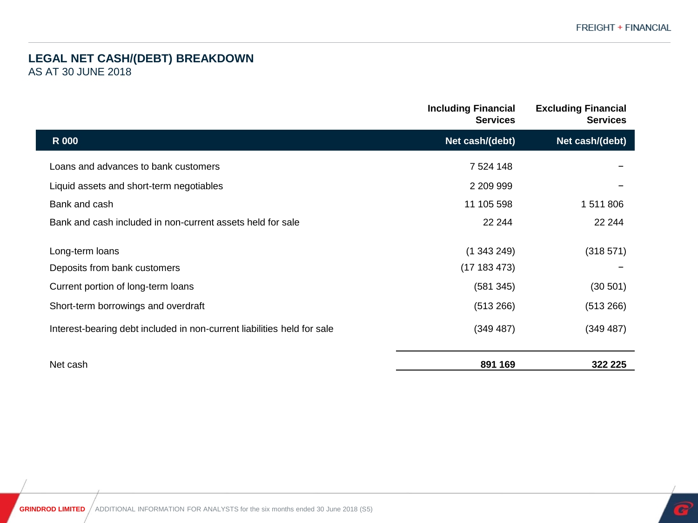#### **LEGAL NET CASH/(DEBT) BREAKDOWN** AS AT 30 JUNE 2018

|                                                                         | <b>Including Financial</b><br><b>Services</b> | <b>Excluding Financial</b><br><b>Services</b> |
|-------------------------------------------------------------------------|-----------------------------------------------|-----------------------------------------------|
| <b>R</b> 000                                                            | Net cash/(debt)                               | Net cash/(debt)                               |
| Loans and advances to bank customers                                    | 7 524 148                                     |                                               |
| Liquid assets and short-term negotiables                                | 2 209 999                                     |                                               |
| Bank and cash                                                           | 11 105 598                                    | 1511806                                       |
| Bank and cash included in non-current assets held for sale              | 22 244                                        | 22 244                                        |
| Long-term loans                                                         | (1343249)                                     | (318571)                                      |
| Deposits from bank customers                                            | (17183473)                                    |                                               |
| Current portion of long-term loans                                      | (581 345)                                     | (30 501)                                      |
| Short-term borrowings and overdraft                                     | (513 266)                                     | (513 266)                                     |
| Interest-bearing debt included in non-current liabilities held for sale | (349 487)                                     | (349 487)                                     |
| Net cash                                                                | 891 169                                       | 322 225                                       |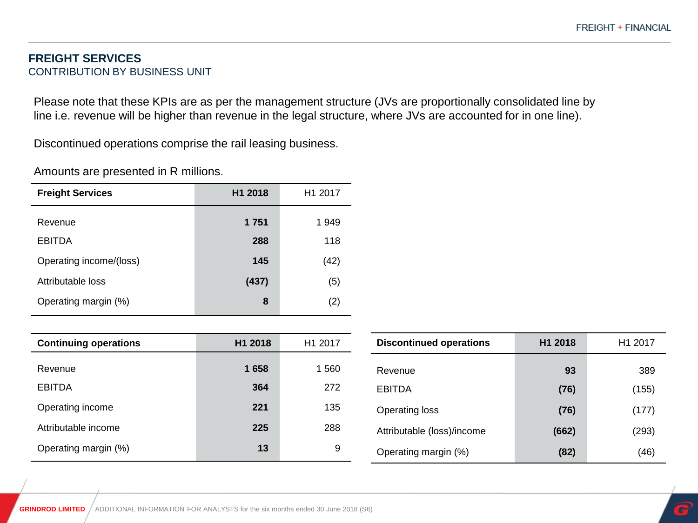#### **FREIGHT SERVICES** CONTRIBUTION BY BUSINESS UNIT

Please note that these KPIs are as per the management structure (JVs are proportionally consolidated line by line i.e. revenue will be higher than revenue in the legal structure, where JVs are accounted for in one line).

Discontinued operations comprise the rail leasing business.

| Amounts are presented in R millions. |  |  |  |
|--------------------------------------|--|--|--|
|--------------------------------------|--|--|--|

| <b>Freight Services</b> | H <sub>1</sub> 2018 | H <sub>1</sub> 2017 |
|-------------------------|---------------------|---------------------|
| Revenue                 | 1 751               | 1949                |
| <b>EBITDA</b>           | 288                 | 118                 |
| Operating income/(loss) | 145                 | (42)                |
| Attributable loss       | (437)               | (5)                 |
| Operating margin (%)    | 8                   | (2)                 |

| <b>Continuing operations</b> | H <sub>1</sub> 2018 | H1 2017 |
|------------------------------|---------------------|---------|
| Revenue                      | 1658                | 1 560   |
| <b>EBITDA</b>                | 364                 | 272     |
| Operating income             | 221                 | 135     |
| Attributable income          | 225                 | 288     |
| Operating margin (%)         | 13                  | 9       |

| <b>Discontinued operations</b> | H <sub>1</sub> 2018 | H <sub>1</sub> 2017 |
|--------------------------------|---------------------|---------------------|
| Revenue                        | 93                  | 389                 |
| EBITDA                         | (76)                | (155)               |
| Operating loss                 | (76)                | (177)               |
| Attributable (loss)/income     | (662)               | (293)               |
| Operating margin (%)           | (82)                | (46)                |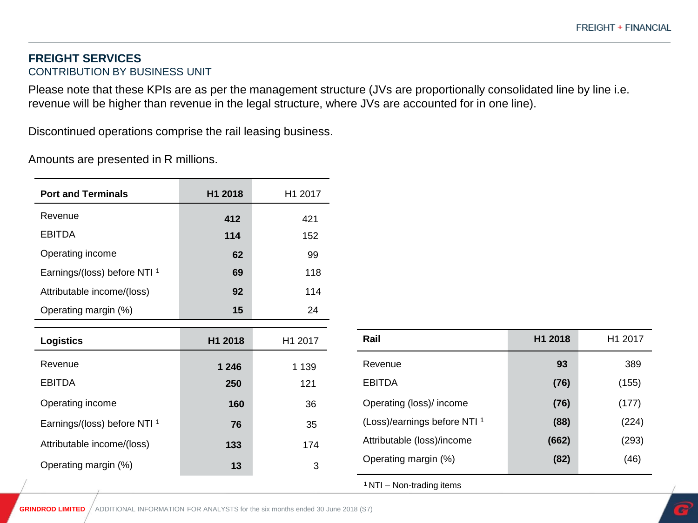#### **FREIGHT SERVICES** CONTRIBUTION BY BUSINESS UNIT

Please note that these KPIs are as per the management structure (JVs are proportionally consolidated line by line i.e. revenue will be higher than revenue in the legal structure, where JVs are accounted for in one line).

Discontinued operations comprise the rail leasing business.

Amounts are presented in R millions.

| <b>Port and Terminals</b>               | H1 2018 | H1 2017 |
|-----------------------------------------|---------|---------|
| Revenue                                 | 412     | 421     |
| <b>EBITDA</b>                           | 114     | 152     |
| Operating income                        | 62      | 99      |
| Earnings/(loss) before NTI <sup>1</sup> | 69      | 118     |
| Attributable income/(loss)              | 92      | 114     |
| Operating margin (%)                    | 15      | 24      |
|                                         |         |         |
| <b>Logistics</b>                        | H1 2018 | H1 2017 |
| Revenue                                 | 1 246   | 1 1 3 9 |
| <b>EBITDA</b>                           | 250     | 121     |
| Operating income                        | 160     | 36      |
| Earnings/(loss) before NTI <sup>1</sup> | 76      | 35      |
| Attributable income/(loss)              | 133     | 174     |
| Operating margin (%)                    | 13      | 3       |

| Rail                                    | H <sub>1</sub> 2018 | H <sub>1</sub> 2017 |
|-----------------------------------------|---------------------|---------------------|
| Revenue                                 | 93                  | 389                 |
| <b>EBITDA</b>                           | (76)                | (155)               |
| Operating (loss)/ income                | (76)                | (177)               |
| (Loss)/earnings before NTI <sup>1</sup> | (88)                | (224)               |
| Attributable (loss)/income              | (662)               | (293)               |
| Operating margin (%)                    | (82)                | (46)                |

<sup>1</sup>NTI – Non-trading items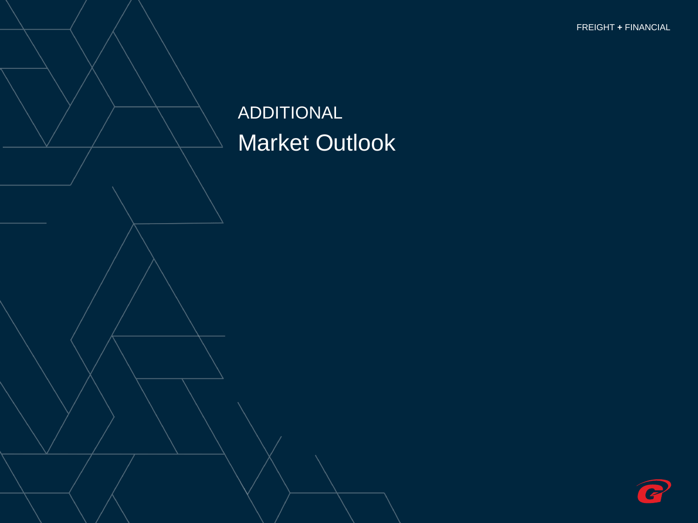FINANCIAL **+** FREIGHT FREIGHT **+** FINANCIAL

# ADDITIONAL Market Outlook

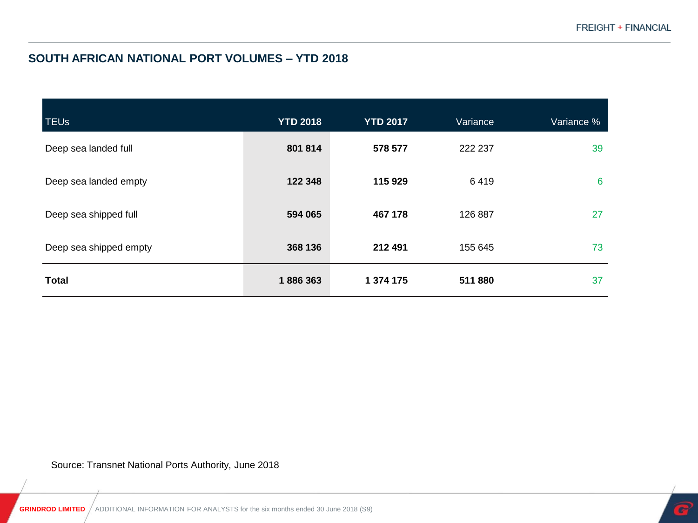#### **SOUTH AFRICAN NATIONAL PORT VOLUMES – YTD 2018**

| <b>TEUs</b>            | <b>YTD 2018</b> | <b>YTD 2017</b> | Variance | Variance % |
|------------------------|-----------------|-----------------|----------|------------|
| Deep sea landed full   | 801 814         | 578 577         | 222 237  | 39         |
| Deep sea landed empty  | 122 348         | 115 929         | 6419     | 6          |
| Deep sea shipped full  | 594 065         | 467 178         | 126 887  | 27         |
| Deep sea shipped empty | 368 136         | 212 491         | 155 645  | 73         |
| <b>Total</b>           | 1886363         | 1 374 175       | 511880   | 37         |

Source: Transnet National Ports Authority, June 2018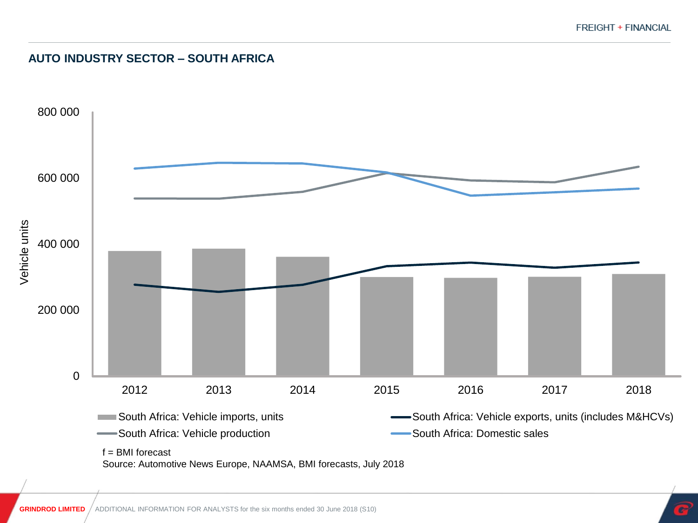#### **AUTO INDUSTRY SECTOR – SOUTH AFRICA**



Source: Automotive News Europe, NAAMSA, BMI forecasts, July 2018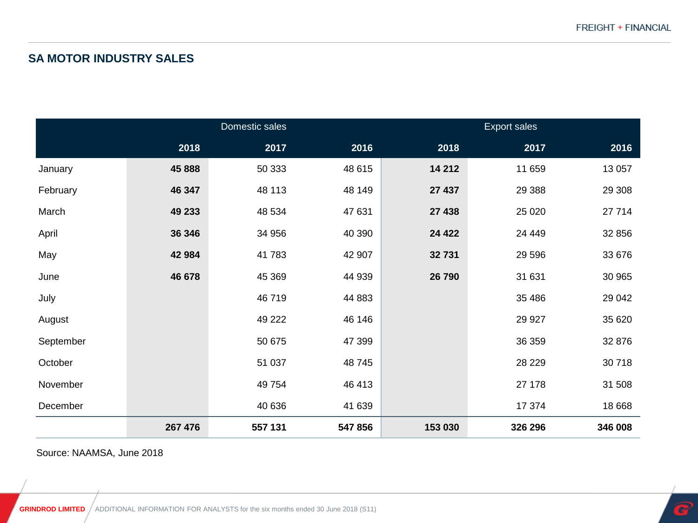#### **SA MOTOR INDUSTRY SALES**

|           | Domestic sales |         |         | Export sales |          |         |
|-----------|----------------|---------|---------|--------------|----------|---------|
|           | 2018           | 2017    | 2016    | 2018         | 2017     | 2016    |
| January   | 45 888         | 50 333  | 48 615  | 14 212       | 11 659   | 13 057  |
| February  | 46 347         | 48 113  | 48 149  | 27 437       | 29 3 88  | 29 30 8 |
| March     | 49 233         | 48 534  | 47 631  | 27 438       | 25 0 20  | 27 714  |
| April     | 36 346         | 34 956  | 40 390  | 24 4 22      | 24 4 4 9 | 32 856  |
| May       | 42 984         | 41783   | 42 907  | 32 731       | 29 5 96  | 33 676  |
| June      | 46 678         | 45 369  | 44 939  | 26 790       | 31 631   | 30 965  |
| July      |                | 46719   | 44 883  |              | 35 486   | 29 042  |
| August    |                | 49 222  | 46 146  |              | 29 9 27  | 35 620  |
| September |                | 50 675  | 47 399  |              | 36 359   | 32 876  |
| October   |                | 51 037  | 48745   |              | 28 2 29  | 30718   |
| November  |                | 49 7 54 | 46 413  |              | 27 178   | 31 508  |
| December  |                | 40 636  | 41 639  |              | 17 374   | 18 668  |
|           | 267 476        | 557 131 | 547 856 | 153 030      | 326 296  | 346 008 |

Source: NAAMSA, June 2018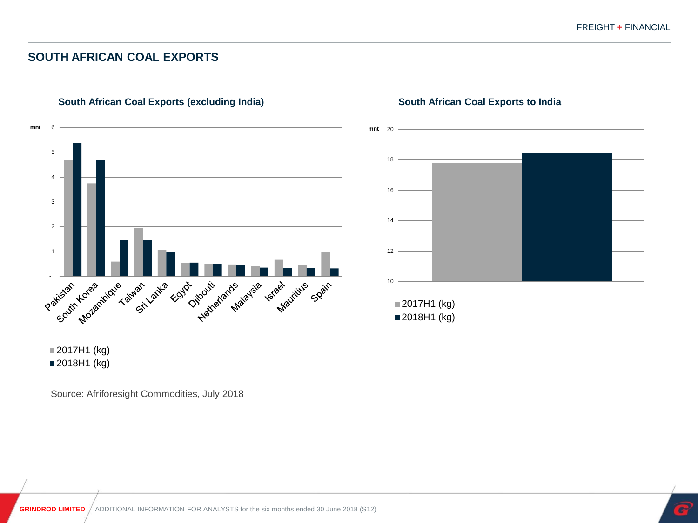#### **SOUTH AFRICAN COAL EXPORTS**



#### **South African Coal Exports (excluding India)**



#### **South African Coal Exports to India**

■2017H1 (kg) ■ 2018H1 (kg)

Source: Afriforesight Commodities, July 2018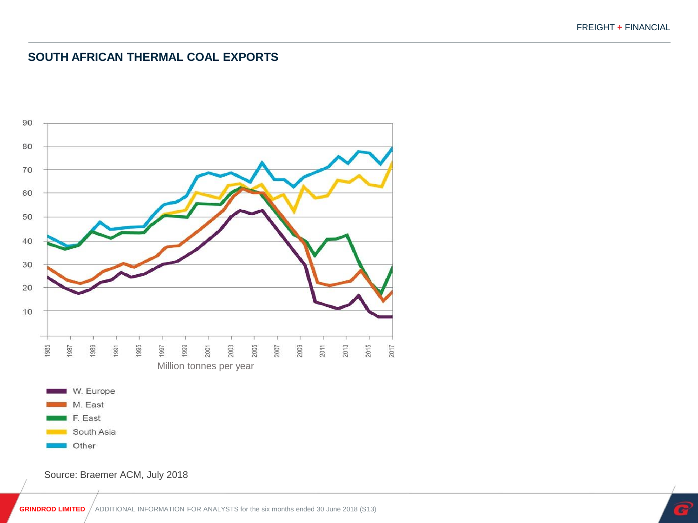#### **SOUTH AFRICAN THERMAL COAL EXPORTS**



Source: Braemer ACM, July 2018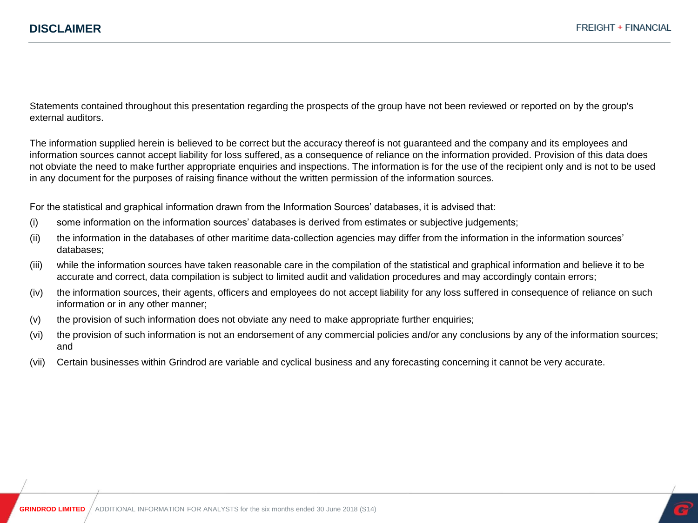Statements contained throughout this presentation regarding the prospects of the group have not been reviewed or reported on by the group's external auditors.

The information supplied herein is believed to be correct but the accuracy thereof is not guaranteed and the company and its employees and information sources cannot accept liability for loss suffered, as a consequence of reliance on the information provided. Provision of this data does not obviate the need to make further appropriate enquiries and inspections. The information is for the use of the recipient only and is not to be used in any document for the purposes of raising finance without the written permission of the information sources.

For the statistical and graphical information drawn from the Information Sources' databases, it is advised that:

- (i) some information on the information sources' databases is derived from estimates or subjective judgements;
- (ii) the information in the databases of other maritime data-collection agencies may differ from the information in the information sources' databases;
- (iii) while the information sources have taken reasonable care in the compilation of the statistical and graphical information and believe it to be accurate and correct, data compilation is subject to limited audit and validation procedures and may accordingly contain errors;
- (iv) the information sources, their agents, officers and employees do not accept liability for any loss suffered in consequence of reliance on such information or in any other manner;
- (v) the provision of such information does not obviate any need to make appropriate further enquiries;
- (vi) the provision of such information is not an endorsement of any commercial policies and/or any conclusions by any of the information sources; and
- (vii) Certain businesses within Grindrod are variable and cyclical business and any forecasting concerning it cannot be very accurate.